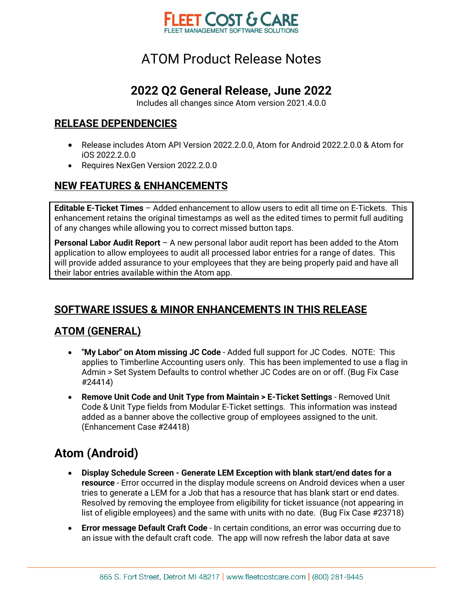

#### **2022 Q2 General Release, June 2022**

Includes all changes since Atom version 2021.4.0.0

#### **RELEASE DEPENDENCIES**

- Release includes Atom API Version 2022.2.0.0, Atom for Android 2022.2.0.0 & Atom for iOS 2022.2.0.0
- Requires NexGen Version 2022.2.0.0

#### **NEW FEATURES & ENHANCEMENTS**

**Editable E-Ticket Times** – Added enhancement to allow users to edit all time on E-Tickets. This enhancement retains the original timestamps as well as the edited times to permit full auditing of any changes while allowing you to correct missed button taps.

**Personal Labor Audit Report** – A new personal labor audit report has been added to the Atom application to allow employees to audit all processed labor entries for a range of dates. This will provide added assurance to your employees that they are being properly paid and have all their labor entries available within the Atom app.

#### **SOFTWARE ISSUES & MINOR ENHANCEMENTS IN THIS RELEASE**

#### **ATOM (GENERAL)**

- **"My Labor" on Atom missing JC Code** Added full support for JC Codes. NOTE: This applies to Timberline Accounting users only. This has been implemented to use a flag in Admin > Set System Defaults to control whether JC Codes are on or off. (Bug Fix Case #24414)
- **Remove Unit Code and Unit Type from Maintain > E-Ticket Settings** Removed Unit Code & Unit Type fields from Modular E-Ticket settings. This information was instead added as a banner above the collective group of employees assigned to the unit. (Enhancement Case #24418)

### **Atom (Android)**

- **Display Schedule Screen Generate LEM Exception with blank start/end dates for a resource** - Error occurred in the display module screens on Android devices when a user tries to generate a LEM for a Job that has a resource that has blank start or end dates. Resolved by removing the employee from eligibility for ticket issuance (not appearing in list of eligible employees) and the same with units with no date. (Bug Fix Case #23718)
- **Error message Default Craft Code** In certain conditions, an error was occurring due to an issue with the default craft code. The app will now refresh the labor data at save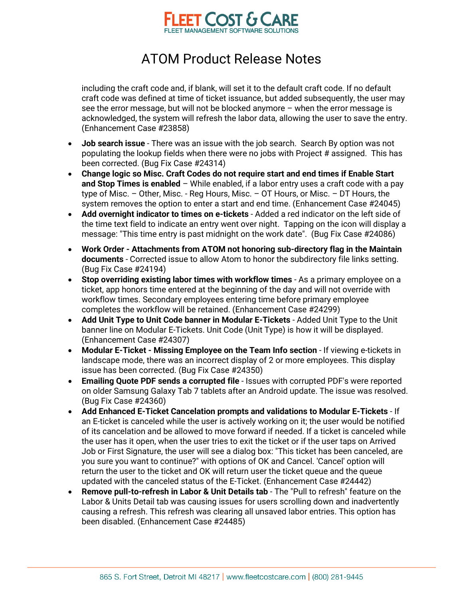

including the craft code and, if blank, will set it to the default craft code. If no default craft code was defined at time of ticket issuance, but added subsequently, the user may see the error message, but will not be blocked anymore – when the error message is acknowledged, the system will refresh the labor data, allowing the user to save the entry. (Enhancement Case #23858)

- **Job search issue** There was an issue with the job search. Search By option was not populating the lookup fields when there were no jobs with Project # assigned. This has been corrected. (Bug Fix Case #24314)
- **Change logic so Misc. Craft Codes do not require start and end times if Enable Start and Stop Times is enabled** – While enabled, if a labor entry uses a craft code with a pay type of Misc. – Other, Misc. - Reg Hours, Misc. – OT Hours, or Misc. – DT Hours, the system removes the option to enter a start and end time. (Enhancement Case #24045)
- **Add overnight indicator to times on e-tickets** Added a red indicator on the left side of the time text field to indicate an entry went over night. Tapping on the icon will display a message: "This time entry is past midnight on the work date". (Bug Fix Case #24086)
- **Work Order - Attachments from ATOM not honoring sub-directory flag in the Maintain documents** - Corrected issue to allow Atom to honor the subdirectory file links setting. (Bug Fix Case #24194)
- **Stop overriding existing labor times with workflow times** As a primary employee on a ticket, app honors time entered at the beginning of the day and will not override with workflow times. Secondary employees entering time before primary employee completes the workflow will be retained. (Enhancement Case #24299)
- **Add Unit Type to Unit Code banner in Modular E-Tickets** Added Unit Type to the Unit banner line on Modular E-Tickets. Unit Code (Unit Type) is how it will be displayed. (Enhancement Case #24307)
- **Modular E-Ticket - Missing Employee on the Team Info section** If viewing e-tickets in landscape mode, there was an incorrect display of 2 or more employees. This display issue has been corrected. (Bug Fix Case #24350)
- **Emailing Quote PDF sends a corrupted file** Issues with corrupted PDF's were reported on older Samsung Galaxy Tab 7 tablets after an Android update. The issue was resolved. (Bug Fix Case #24360)
- **Add Enhanced E-Ticket Cancelation prompts and validations to Modular E-Tickets** If an E-ticket is canceled while the user is actively working on it; the user would be notified of its cancelation and be allowed to move forward if needed. If a ticket is canceled while the user has it open, when the user tries to exit the ticket or if the user taps on Arrived Job or First Signature, the user will see a dialog box: "This ticket has been canceled, are you sure you want to continue?" with options of OK and Cancel. 'Cancel' option will return the user to the ticket and OK will return user the ticket queue and the queue updated with the canceled status of the E-Ticket. (Enhancement Case #24442)
- **Remove pull-to-refresh in Labor & Unit Details tab** The "Pull to refresh" feature on the Labor & Units Detail tab was causing issues for users scrolling down and inadvertently causing a refresh. This refresh was clearing all unsaved labor entries. This option has been disabled. (Enhancement Case #24485)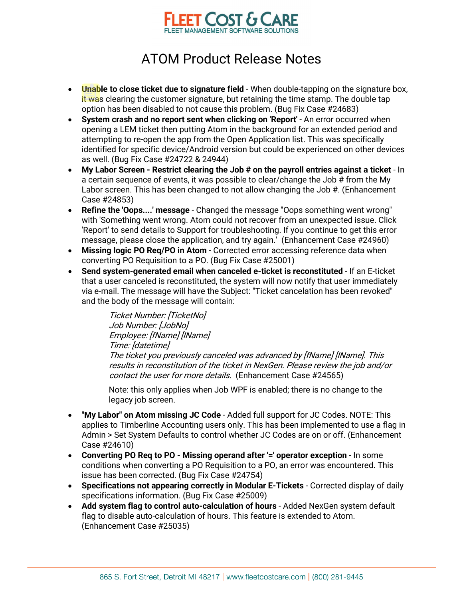

- Unable to close ticket due to signature field When double-tapping on the signature box, it was clearing the customer signature, but retaining the time stamp. The double tap option has been disabled to not cause this problem. (Bug Fix Case #24683)
- **System crash and no report sent when clicking on 'Report'** An error occurred when opening a LEM ticket then putting Atom in the background for an extended period and attempting to re-open the app from the Open Application list. This was specifically identified for specific device/Android version but could be experienced on other devices as well. (Bug Fix Case #24722 & 24944)
- **My Labor Screen - Restrict clearing the Job # on the payroll entries against a ticket** In a certain sequence of events, it was possible to clear/change the Job # from the My Labor screen. This has been changed to not allow changing the Job #. (Enhancement Case #24853)
- **Refine the 'Oops....' message** Changed the message "Oops something went wrong" with 'Something went wrong. Atom could not recover from an unexpected issue. Click 'Report' to send details to Support for troubleshooting. If you continue to get this error message, please close the application, and try again.' (Enhancement Case #24960)
- **Missing logic PO Req/PO in Atom** Corrected error accessing reference data when converting PO Requisition to a PO. (Bug Fix Case #25001)
- **Send system-generated email when canceled e-ticket is reconstituted** If an E-ticket that a user canceled is reconstituted, the system will now notify that user immediately via e-mail. The message will have the Subject: "Ticket cancelation has been revoked" and the body of the message will contain:

Ticket Number: [TicketNo] Job Number: [JobNo] Employee: [fName] [lName] Time: [datetime] The ticket you previously canceled was advanced by [fName] [lName]. This results in reconstitution of the ticket in NexGen. Please review the job and/or contact the user for more details. (Enhancement Case #24565)

Note: this only applies when Job WPF is enabled; there is no change to the legacy job screen.

- **"My Labor" on Atom missing JC Code** Added full support for JC Codes. NOTE: This applies to Timberline Accounting users only. This has been implemented to use a flag in Admin > Set System Defaults to control whether JC Codes are on or off. (Enhancement Case #24610)
- **Converting PO Req to PO - Missing operand after '=' operator exception** In some conditions when converting a PO Requisition to a PO, an error was encountered. This issue has been corrected. (Bug Fix Case #24754)
- **Specifications not appearing correctly in Modular E-Tickets** Corrected display of daily specifications information. (Bug Fix Case #25009)
- **Add system flag to control auto-calculation of hours** Added NexGen system default flag to disable auto-calculation of hours. This feature is extended to Atom. (Enhancement Case #25035)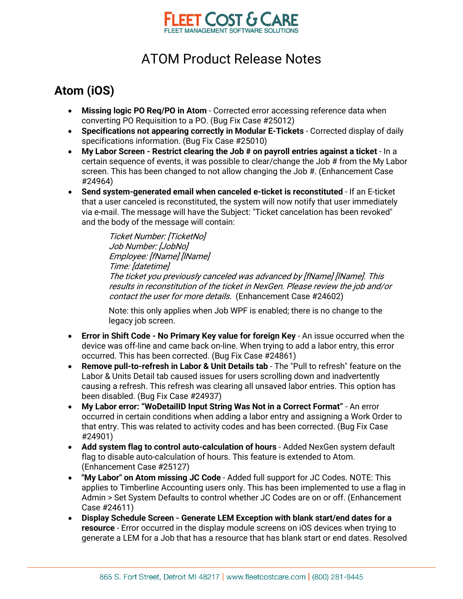

### **Atom (iOS)**

- **Missing logic PO Req/PO in Atom** Corrected error accessing reference data when converting PO Requisition to a PO. (Bug Fix Case #25012)
- **Specifications not appearing correctly in Modular E-Tickets** Corrected display of daily specifications information. (Bug Fix Case #25010)
- **My Labor Screen - Restrict clearing the Job # on payroll entries against a ticket** In a certain sequence of events, it was possible to clear/change the Job # from the My Labor screen. This has been changed to not allow changing the Job #. (Enhancement Case #24964)
- **Send system-generated email when canceled e-ticket is reconstituted** If an E-ticket that a user canceled is reconstituted, the system will now notify that user immediately via e-mail. The message will have the Subject: "Ticket cancelation has been revoked" and the body of the message will contain:

Ticket Number: [TicketNo] Job Number: [JobNo] Employee: [fName] [lName] Time: [datetime] The ticket you previously canceled was advanced by [fName] [lName]. This results in reconstitution of the ticket in NexGen. Please review the job and/or contact the user for more details. (Enhancement Case #24602)

Note: this only applies when Job WPF is enabled; there is no change to the legacy job screen.

- **Error in Shift Code - No Primary Key value for foreign Key** An issue occurred when the device was off-line and came back on-line. When trying to add a labor entry, this error occurred. This has been corrected. (Bug Fix Case #24861)
- **Remove pull-to-refresh in Labor & Unit Details tab** The "Pull to refresh" feature on the Labor & Units Detail tab caused issues for users scrolling down and inadvertently causing a refresh. This refresh was clearing all unsaved labor entries. This option has been disabled. (Bug Fix Case #24937)
- **My Labor error: "WoDetailID Input String Was Not in a Correct Format"** An error occurred in certain conditions when adding a labor entry and assigning a Work Order to that entry. This was related to activity codes and has been corrected. (Bug Fix Case #24901)
- **Add system flag to control auto-calculation of hours** Added NexGen system default flag to disable auto-calculation of hours. This feature is extended to Atom. (Enhancement Case #25127)
- **"My Labor" on Atom missing JC Code** Added full support for JC Codes. NOTE: This applies to Timberline Accounting users only. This has been implemented to use a flag in Admin > Set System Defaults to control whether JC Codes are on or off. (Enhancement Case #24611)
- **Display Schedule Screen - Generate LEM Exception with blank start/end dates for a resource** - Error occurred in the display module screens on iOS devices when trying to generate a LEM for a Job that has a resource that has blank start or end dates. Resolved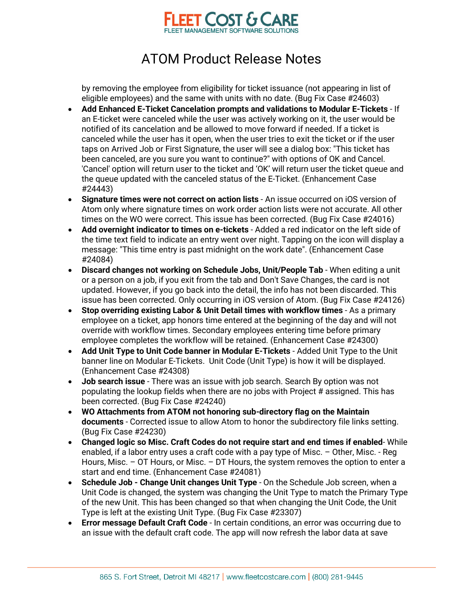

by removing the employee from eligibility for ticket issuance (not appearing in list of eligible employees) and the same with units with no date. (Bug Fix Case #24603)

- **Add Enhanced E-Ticket Cancelation prompts and validations to Modular E-Tickets** If an E-ticket were canceled while the user was actively working on it, the user would be notified of its cancelation and be allowed to move forward if needed. If a ticket is canceled while the user has it open, when the user tries to exit the ticket or if the user taps on Arrived Job or First Signature, the user will see a dialog box: "This ticket has been canceled, are you sure you want to continue?" with options of OK and Cancel. 'Cancel' option will return user to the ticket and 'OK' will return user the ticket queue and the queue updated with the canceled status of the E-Ticket. (Enhancement Case #24443)
- **Signature times were not correct on action lists** An issue occurred on iOS version of Atom only where signature times on work order action lists were not accurate. All other times on the WO were correct. This issue has been corrected. (Bug Fix Case #24016)
- **Add overnight indicator to times on e-tickets**  Added a red indicator on the left side of the time text field to indicate an entry went over night. Tapping on the icon will display a message: "This time entry is past midnight on the work date". (Enhancement Case #24084)
- **Discard changes not working on Schedule Jobs, Unit/People Tab** When editing a unit or a person on a job, if you exit from the tab and Don't Save Changes, the card is not updated. However, if you go back into the detail, the info has not been discarded. This issue has been corrected. Only occurring in iOS version of Atom. (Bug Fix Case #24126)
- **Stop overriding existing Labor & Unit Detail times with workflow times** As a primary employee on a ticket, app honors time entered at the beginning of the day and will not override with workflow times. Secondary employees entering time before primary employee completes the workflow will be retained. (Enhancement Case #24300)
- **Add Unit Type to Unit Code banner in Modular E-Tickets** Added Unit Type to the Unit banner line on Modular E-Tickets. Unit Code (Unit Type) is how it will be displayed. (Enhancement Case #24308)
- **Job search issue** There was an issue with job search. Search By option was not populating the lookup fields when there are no jobs with Project # assigned. This has been corrected. (Bug Fix Case #24240)
- **WO Attachments from ATOM not honoring sub-directory flag on the Maintain documents** - Corrected issue to allow Atom to honor the subdirectory file links setting. (Bug Fix Case #24230)
- **Changed logic so Misc. Craft Codes do not require start and end times if enabled** While enabled, if a labor entry uses a craft code with a pay type of Misc. – Other, Misc. - Reg Hours, Misc. – OT Hours, or Misc. – DT Hours, the system removes the option to enter a start and end time. (Enhancement Case #24081)
- **Schedule Job - Change Unit changes Unit Type** On the Schedule Job screen, when a Unit Code is changed, the system was changing the Unit Type to match the Primary Type of the new Unit. This has been changed so that when changing the Unit Code, the Unit Type is left at the existing Unit Type. (Bug Fix Case #23307)
- **Error message Default Craft Code** In certain conditions, an error was occurring due to an issue with the default craft code. The app will now refresh the labor data at save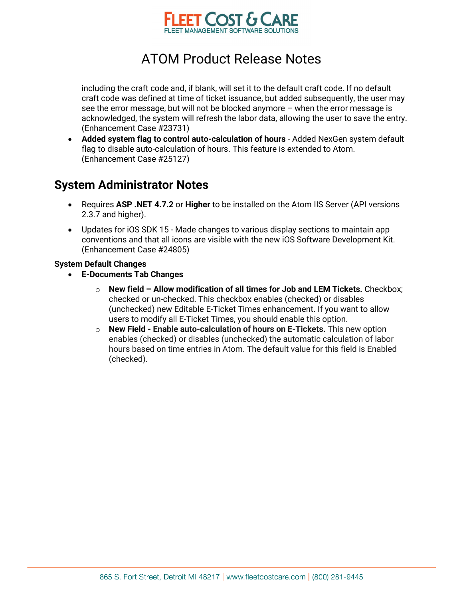

including the craft code and, if blank, will set it to the default craft code. If no default craft code was defined at time of ticket issuance, but added subsequently, the user may see the error message, but will not be blocked anymore – when the error message is acknowledged, the system will refresh the labor data, allowing the user to save the entry. (Enhancement Case #23731)

• **Added system flag to control auto-calculation of hours** - Added NexGen system default flag to disable auto-calculation of hours. This feature is extended to Atom. (Enhancement Case #25127)

#### **System Administrator Notes**

- Requires **ASP .NET 4.7.2** or **Higher** to be installed on the Atom IIS Server (API versions 2.3.7 and higher).
- Updates for iOS SDK 15 Made changes to various display sections to maintain app conventions and that all icons are visible with the new iOS Software Development Kit. (Enhancement Case #24805)

#### **System Default Changes**

- **E-Documents Tab Changes** 
	- o **New field Allow modification of all times for Job and LEM Tickets.** Checkbox; checked or un-checked. This checkbox enables (checked) or disables (unchecked) new Editable E-Ticket Times enhancement. If you want to allow users to modify all E-Ticket Times, you should enable this option.
	- o **New Field Enable auto-calculation of hours on E-Tickets.** This new option enables (checked) or disables (unchecked) the automatic calculation of labor hours based on time entries in Atom. The default value for this field is Enabled (checked).